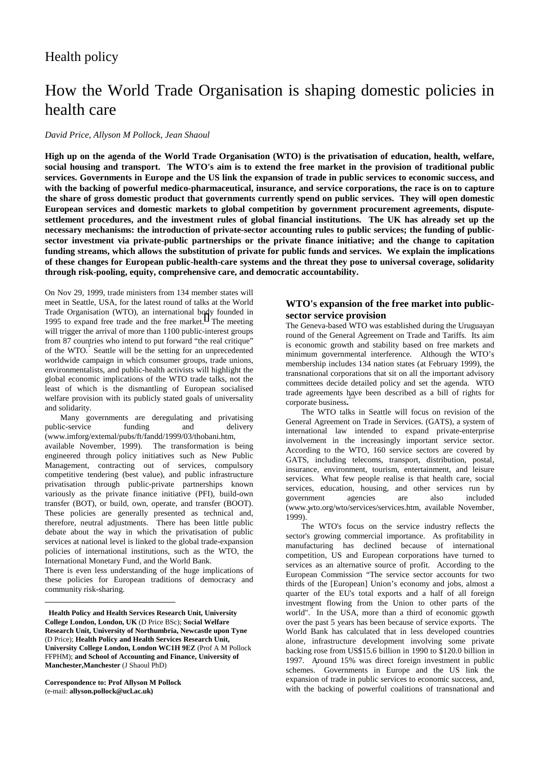## Health policy

# How the World Trade Organisation is shaping domestic policies in health care

#### *David Price, Allyson M Pollock, Jean Shaoul*

**High up on the agenda of the World Trade Organisation (WTO) is the privatisation of education, health, welfare, social housing and transport. The WTO's aim is to extend the free market in the provision of traditional public services. Governments in Europe and the US link the expansion of trade in public services to economic success, and with the backing of powerful medico-pharmaceutical, insurance, and service corporations, the race is on to capture the share of gross domestic product that governments currently spend on public services. They will open domestic European services and domestic markets to global competition by government procurement agreements, disputesettlement procedures, and the investment rules of global financial institutions. The UK has already set up the necessary mechanisms: the introduction of private-sector accounting rules to public services; the funding of publicsector investment via private-public partnerships or the private finance initiative; and the change to capitation funding streams, which allows the substitution of private for public funds and services. We explain the implications of these changes for European public-health-care systems and the threat they pose to universal coverage, solidarity through risk-pooling, equity, comprehensive care, and democratic accountability.** 

On Nov 29, 1999, trade ministers from 134 member states will meet in Seattle, USA, for the latest round of talks at the World Trade Organisation (WTO), an international body founded in 1995 to expand free trade and the free market. The meeting will trigger the arrival of more than 1100 public-interest groups from 87 countries who intend to put forward "the real critique" of the WTO. Seattle will be the setting for an unprecedented worldwide campaign in which consumer groups, trade unions, environmentalists, and public-health activists will highlight the global economic implications of the WTO trade talks, not the least of which is the dismantling of European socialised welfare provision with its publicly stated goals of universality and solidarity.

 Many governments are deregulating and privatising public-service funding and delivery (www.imforg/extemal/pubs/ft/fandd/1999/03/thobani.htm, available November, 1999). The transformation is being engineered through policy initiatives such as New Public Management, contracting out of services, compulsory competitive tendering (best value), and public infrastructure privatisation through public-private partnerships known variously as the private finance initiative (PFI), build-own transfer (BOT), or build, own, operate, and transfer (BOOT). These policies are generally presented as technical and, therefore, neutral adjustments. There has been little public debate about the way in which the privatisation of public services at national level is linked to the global trade-expansion policies of international institutions, such as the WTO, the International Monetary Fund, and the World Bank.

There is even less understanding of the huge implications of these policies for European traditions of democracy and community risk-sharing.

**Correspondence to: Prof Allyson M Pollock** (e-mail: **allyson.pollock@ucl.ac.uk)**

 $\overline{a}$ 

## **WTO's expansion of the free market into publicsector service provision**

The Geneva-based WTO was established during the Uruguayan round of the General Agreement on Trade and Tariffs. Its aim is economic growth and stability based on free markets and minimum governmental interference. Although the WTO's membership includes 134 nation states (at February 1999), the transnational corporations that sit on all the important advisory committees decide detailed policy and set the agenda. WTO trade agreements have been described as a bill of rights for corporate business**.**

 The WTO talks in Seattle will focus on revision of the General Agreement on Trade in Services. (GATS), a system of international law intended to expand private-enterprise involvement in the increasingly important service sector. According to the WTO, 160 service sectors are covered by GATS, including telecoms, transport, distribution, postal, insurance, environment, tourism, entertainment, and leisure services. What few people realise is that health care, social services, education, housing, and other services run by government agencies are also included (www.wto.org/wto/services/services.htm, available November, 1999).

 The WTO's focus on the service industry reflects the sector's growing commercial importance. As profitability in manufacturing has declined because of international competition, US and European corporations have turned to services as an alternative source of profit. According to the European Commission "The service sector accounts for two thirds of the [European] Union's economy and jobs, almost a quarter of the EU's total exports and a half of all foreign investment flowing from the Union to other parts of the world". In the USA, more than a third of economic growth  $\frac{1}{2}$  over the past 5 years has been because of service exports. The World Bank has calculated that in less developed countries alone, infrastructure development involving some private backing rose from US\$15.6 billion in 1990 to \$120.0 billion in 1997. Around 15% was direct foreign investment in public schemes. Governments in Europe and the US link the expansion of trade in public services to economic success, and, with the backing of powerful coalitions of transnational and

**Health Policy and Health Services Research Unit, University College London, London, UK** (D Price BSc); **Social Welfare Research Unit, University of Northumbria, Newcastle upon Tyne**  (D Price); **Health Policy and Health Services Research Unit, University College London, London WC1H 9EZ** (Prof A M Pollock FFPHM); **and School of Accounting and Finance, University of Manchester,Manchester** (J Shaoul PhD)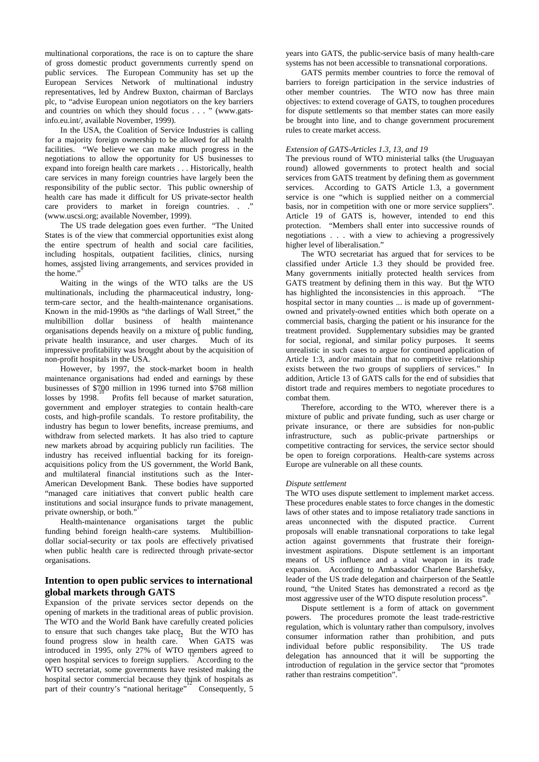multinational corporations, the race is on to capture the share of gross domestic product governments currently spend on public services. The European Community has set up the European Services Network of multinational industry representatives, led by Andrew Buxton, chairman of Barclays plc, to "advise European union negotiators on the key barriers and countries on which they should focus . . . " (www.gatsinfo.eu.int/, available November, 1999).

 In the USA, the Coalition of Service Industries is calling for a majority foreign ownership to be allowed for all health facilities. "We believe we can make much progress in the negotiations to allow the opportunity for US businesses to expand into foreign health care markets . . . Historically, health care services in many foreign countries have largely been the responsibility of the public sector. This public ownership of health care has made it difficult for US private-sector health care providers to market in foreign countries. . ." (www.uscsi.org; available November, 1999).

 The US trade delegation goes even further. "The United States is of the view that commercial opportunities exist along the entire spectrum of health and social care facilities, including hospitals, outpatient facilities, clinics, nursing homes, assisted living arrangements, and services provided in the home."

 Waiting in the wings of the WTO talks are the US multinationals, including the pharmaceutical industry, longterm-care sector, and the health-maintenance organisations. Known in the mid-1990s as "the darlings of Wall Street," the multibillion dollar business of health maintenance organisations depends heavily on a mixture of public funding, private health insurance, and user charges. Much of its impressive profitability was brought about by the acquisition of non-profit hospitals in the USA.<sup>9</sup>

 However, by 1997, the stock-market boom in health maintenance organisations had ended and earnings by these businesses of \$700 million in 1996 turned into \$768 million basinesses of  $\frac{100}{10}$  million in 1990 tartied the  $\frac{100}{100}$  million losses by 1998. Profits fell because of market saturation, government and employer strategies to contain health-care costs, and high-profile scandals. To restore profitability, the industry has begun to lower benefits, increase premiums, and withdraw from selected markets. It has also tried to capture new markets abroad by acquiring publicly run facilities. The industry has received influential backing for its foreignacquisitions policy from the US government, the World Bank, and multilateral financial institutions such as the Inter-American Development Bank. These bodies have supported "managed care initiatives that convert public health care institutions and social insurance funds to private management, private ownership, or both."

 Health-maintenance organisations target the public funding behind foreign health-care systems. Multibilliondollar social-security or tax pools are effectively privatised when public health care is redirected through private-sector organisations.

## **Intention to open public services to international global markets through GATS**

Expansion of the private services sector depends on the opening of markets in the traditional areas of public provision. The WTO and the World Bank have carefully created policies to ensure that such changes take place  $_{2}$  But the WTO has found progress slow in health care. When GATS was introduced in 1995, only 27% of WTO members agreed to open hospital services to foreign suppliers. According to the WTO secretariat, some governments have resisted making the hospital sector commercial because they think of hospitals as part of their country's "national heritage" Consequently, 5 years into GATS, the public-service basis of many health-care systems has not been accessible to transnational corporations.

 GATS permits member countries to force the removal of barriers to foreign participation in the service industries of other member countries. The WTO now has three main objectives: to extend coverage of GATS, to toughen procedures for dispute settlements so that member states can more easily be brought into line, and to change government procurement rules to create market access.

#### *Extension of GATS-Articles 1.3, 13, and 19*

The previous round of WTO ministerial talks (the Uruguayan round) allowed governments to protect health and social services from GATS treatment by defining them as government services. According to GATS Article 1.3, a government service is one "which is supplied neither on a commercial basis, nor in competition with one or more service suppliers". Article 19 of GATS is, however, intended to end this protection. "Members shall enter into successive rounds of negotiations . . . with a view to achieving a progressively higher level of liberalisation."

 The WTO secretariat has argued that for services to be classified under Article 1.3 they should be provided free. Many governments initially protected health services from GATS treatment by defining them in this way. But the WTO has highlighted the inconsistencies in this approach. "The hospital sector in many counties ... is made up of governmentowned and privately-owned entities which both operate on a commercial basis, charging the patient or his insurance for the treatment provided. Supplementary subsidies may be granted for social, regional, and similar policy purposes. It seems unrealistic in such cases to argue for continued application of Article 1:3, and/or maintain that no competitive relationship exists between the two groups of suppliers of services." In addition, Article 13 of GATS calls for the end of subsidies that distort trade and requires members to negotiate procedures to combat them.

 Therefore, according to the WTO, wherever there is a mixture of public and private funding, such as user charge or private insurance, or there are subsidies for non-public infrastructure, such as public-private partnerships or competitive contracting for services, the service sector should be open to foreign corporations. Health-care systems across Europe are vulnerable on all these counts.

#### *Dispute settlement*

The WTO uses dispute settlement to implement market access. These procedures enable states to force changes in the domestic laws of other states and to impose retaliatory trade sanctions in areas unconnected with the disputed practice. Current proposals will enable transnational corporations to take legal action against governments that frustrate their foreigninvestment aspirations. Dispute settlement is an important means of US influence and a vital weapon in its trade expansion. According to Ambassador Charlene Barshefsky, leader of the US trade delegation and chairperson of the Seattle round, "the United States has demonstrated a record as the most aggressive user of the WTO dispute resolution process".

 Dispute settlement is a form of attack on government powers. The procedures promote the least trade-restrictive regulation, which is voluntary rather than compulsory, involves consumer information rather than prohibition, and puts individual before public responsibility. delegation has announced that it will be supporting the introduction of regulation in the service sector that "promotes rather than restrains competition".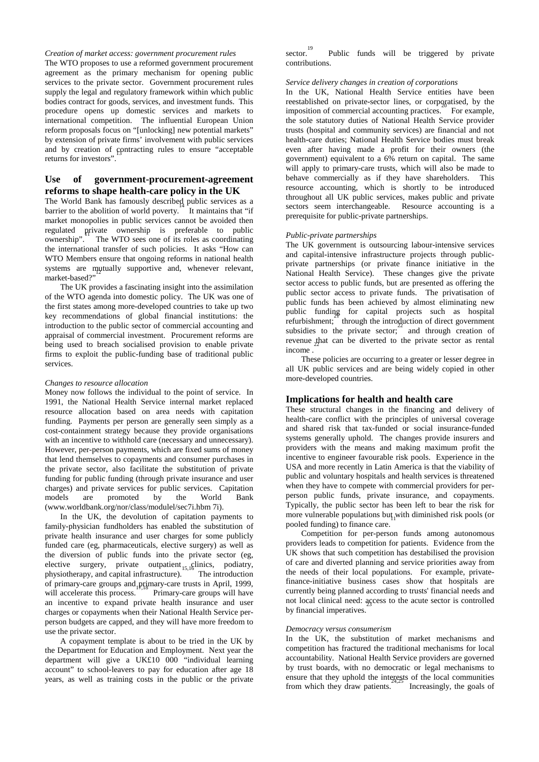#### *Creation of market access: government procurement rules*

The WTO proposes to use a reformed government procurement agreement as the primary mechanism for opening public services to the private sector. Government procurement rules supply the legal and regulatory framework within which public bodies contract for goods, services, and investment funds. This procedure opens up domestic services and markets to international competition. The influential European Union reform proposals focus on "[unlocking] new potential markets" by extension of private firms' involvement with public services and by creation of contracting rules to ensure "acceptable returns for investors".

## **Use of government-procurement-agreement reforms to shape health-care policy in the UK**

The World Bank has famously described public services as a  $\frac{1}{2}$  barrier to the abolition of world poverty. It maintains that "if market monopolies in public services cannot be avoided then regulated private ownership is preferable to public ownership". The WTO sees one of its roles as coordinating the international transfer of such policies. It asks "How can WTO Members ensure that ongoing reforms in national health systems are mutually supportive and, whenever relevant, market-based?"

 The UK provides a fascinating insight into the assimilation of the WTO agenda into domestic policy. The UK was one of the first states among more-developed countries to take up two key recommendations of global financial institutions: the introduction to the public sector of commercial accounting and appraisal of commercial investment. Procurement reforms are being used to breach socialised provision to enable private firms to exploit the public-funding base of traditional public services.

#### *Changes to resource allocation*

Money now follows the individual to the point of service. In 1991, the National Health Service internal market replaced resource allocation based on area needs with capitation funding. Payments per person are generally seen simply as a cost-containment strategy because they provide organisations with an incentive to withhold care (necessary and unnecessary). However, per-person payments, which are fixed sums of money that lend themselves to copayments and consumer purchases in the private sector, also facilitate the substitution of private funding for public funding (through private insurance and user charges) and private services for public services. Capitation models are promoted by the World Bank (www.worldbank.org/nor/class/modulel/sec7i.hbm 7i).

In the UK, the devolution of capitation payments to family-physician fundholders has enabled the substitution of private health insurance and user charges for some publicly funded care (eg, pharmaceuticals, elective surgery) as well as the diversion of public funds into the private sector (eg, elective surgery, private outpatient  $_{15,1}$ clinics, podiatry, physiotherapy, and capital infrastructure).<sup>15,1</sup> The introduction of primary-care groups and primary-care trusts in April, 1999, will accelerate this process.<sup>1</sup> Primary-care groups will have an incentive to expand private health insurance and user charges or copayments when their National Health Service perperson budgets are capped, and they will have more freedom to use the private sector.

 A copayment template is about to be tried in the UK by the Department for Education and Employment. Next year the department will give a UK£10 000 "individual learning account" to school-leavers to pay for education after age 18 years, as well as training costs in the public or the private <sup>19</sup><br>sector. Public funds will be triggered by private contributions.

#### *Service delivery changes in creation of corporations*

In the UK, National Health Service entities have been reestablished on private-sector lines, or corporatised, by the imposition of commercial accounting practices. For example, the sole statutory duties of National Health Service provider trusts (hospital and community services) are financial and not health-care duties; National Health Service bodies must break even after having made a profit for their owners (the government) equivalent to a 6% return on capital. The same will apply to primary-care trusts, which will also be made to behave commercially as if they have shareholders. This resource accounting, which is shortly to be introduced throughout all UK public services, makes public and private sectors seem interchangeable. Resource accounting is a prerequisite for public-private partnerships.

#### *Public-private partnerships*

The UK government is outsourcing labour-intensive services and capital-intensive infrastructure projects through publicprivate partnerships (or private finance initiative in the National Health Service). These changes give the private sector access to public funds, but are presented as offering the public sector access to private funds. The privatisation of public funds has been achieved by almost eliminating new public funding for capital projects such as hospital refurbishment; through the introduction of direct government subsidies to the private sector; and through creation of revenue that can be diverted to the private sector as rental income.

 These policies are occurring to a greater or lesser degree in all UK public services and are being widely copied in other more-developed countries.

#### **Implications for health and health care**

These structural changes in the financing and delivery of health-care conflict with the principles of universal coverage and shared risk that tax-funded or social insurance-funded systems generally uphold. The changes provide insurers and providers with the means and making maximum profit the incentive to engineer favourable risk pools. Experience in the USA and more recently in Latin America is that the viability of public and voluntary hospitals and health services is threatened when they have to compete with commercial providers for perperson public funds, private insurance, and copayments. Typically, the public sector has been left to bear the risk for more vulnerable populations but with diminished risk pools (or pooled funding) to finance care.

 Competition for per-person funds among autonomous providers leads to competition for patients. Evidence from the UK shows that such competition has destabilised the provision of care and diverted planning and service priorities away from the needs of their local populations. For example, privatefinance-initiative business cases show that hospitals are currently being planned according to trusts' financial needs and not local clinical need: access to the acute sector is controlled by financial imperatives.

#### *Democracy versus consumerism*

In the UK, the substitution of market mechanisms and competition has fractured the traditional mechanisms for local accountability. National Health Service providers are governed by trust boards, with no democratic or legal mechanisms to ensure that they uphold the interests of the local communities from which they draw patients.<sup>2</sup> Increasingly, the goals of